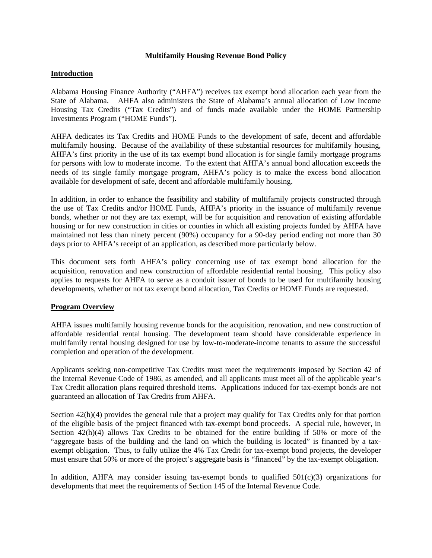#### **Multifamily Housing Revenue Bond Policy**

## **Introduction**

Alabama Housing Finance Authority ("AHFA") receives tax exempt bond allocation each year from the State of Alabama. AHFA also administers the State of Alabama's annual allocation of Low Income Housing Tax Credits ("Tax Credits") and of funds made available under the HOME Partnership Investments Program ("HOME Funds").

AHFA dedicates its Tax Credits and HOME Funds to the development of safe, decent and affordable multifamily housing. Because of the availability of these substantial resources for multifamily housing, AHFA's first priority in the use of its tax exempt bond allocation is for single family mortgage programs for persons with low to moderate income. To the extent that AHFA's annual bond allocation exceeds the needs of its single family mortgage program, AHFA's policy is to make the excess bond allocation available for development of safe, decent and affordable multifamily housing.

In addition, in order to enhance the feasibility and stability of multifamily projects constructed through the use of Tax Credits and/or HOME Funds, AHFA's priority in the issuance of multifamily revenue bonds, whether or not they are tax exempt, will be for acquisition and renovation of existing affordable housing or for new construction in cities or counties in which all existing projects funded by AHFA have maintained not less than ninety percent (90%) occupancy for a 90-day period ending not more than 30 days prior to AHFA's receipt of an application, as described more particularly below.

This document sets forth AHFA's policy concerning use of tax exempt bond allocation for the acquisition, renovation and new construction of affordable residential rental housing. This policy also applies to requests for AHFA to serve as a conduit issuer of bonds to be used for multifamily housing developments, whether or not tax exempt bond allocation, Tax Credits or HOME Funds are requested.

## **Program Overview**

AHFA issues multifamily housing revenue bonds for the acquisition, renovation, and new construction of affordable residential rental housing. The development team should have considerable experience in multifamily rental housing designed for use by low-to-moderate-income tenants to assure the successful completion and operation of the development.

Applicants seeking non-competitive Tax Credits must meet the requirements imposed by Section 42 of the Internal Revenue Code of 1986, as amended, and all applicants must meet all of the applicable year's Tax Credit allocation plans required threshold items. Applications induced for tax-exempt bonds are not guaranteed an allocation of Tax Credits from AHFA.

Section 42(h)(4) provides the general rule that a project may qualify for Tax Credits only for that portion of the eligible basis of the project financed with tax-exempt bond proceeds. A special rule, however, in Section  $42(h)(4)$  allows Tax Credits to be obtained for the entire building if 50% or more of the "aggregate basis of the building and the land on which the building is located" is financed by a taxexempt obligation. Thus, to fully utilize the 4% Tax Credit for tax-exempt bond projects, the developer must ensure that 50% or more of the project's aggregate basis is "financed" by the tax-exempt obligation.

In addition, AHFA may consider issuing tax-exempt bonds to qualified  $501(c)(3)$  organizations for developments that meet the requirements of Section 145 of the Internal Revenue Code.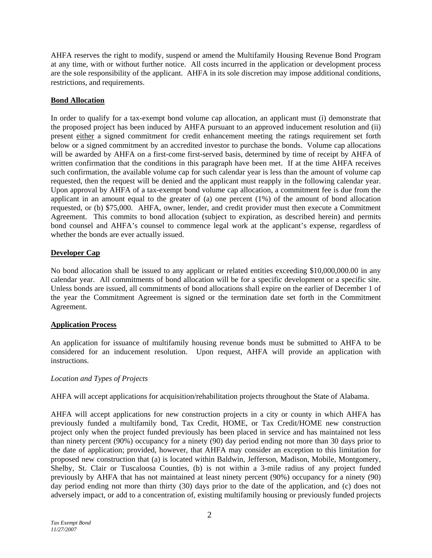AHFA reserves the right to modify, suspend or amend the Multifamily Housing Revenue Bond Program at any time, with or without further notice. All costs incurred in the application or development process are the sole responsibility of the applicant. AHFA in its sole discretion may impose additional conditions, restrictions, and requirements.

# **Bond Allocation**

In order to qualify for a tax-exempt bond volume cap allocation, an applicant must (i) demonstrate that the proposed project has been induced by AHFA pursuant to an approved inducement resolution and (ii) present either a signed commitment for credit enhancement meeting the ratings requirement set forth below or a signed commitment by an accredited investor to purchase the bonds. Volume cap allocations will be awarded by AHFA on a first-come first-served basis, determined by time of receipt by AHFA of written confirmation that the conditions in this paragraph have been met. If at the time AHFA receives such confirmation, the available volume cap for such calendar year is less than the amount of volume cap requested, then the request will be denied and the applicant must reapply in the following calendar year. Upon approval by AHFA of a tax-exempt bond volume cap allocation, a commitment fee is due from the applicant in an amount equal to the greater of (a) one percent (1%) of the amount of bond allocation requested, or (b) \$75,000. AHFA, owner, lender, and credit provider must then execute a Commitment Agreement. This commits to bond allocation (subject to expiration, as described herein) and permits bond counsel and AHFA's counsel to commence legal work at the applicant's expense, regardless of whether the bonds are ever actually issued.

## **Developer Cap**

No bond allocation shall be issued to any applicant or related entities exceeding \$10,000,000.00 in any calendar year. All commitments of bond allocation will be for a specific development or a specific site. Unless bonds are issued, all commitments of bond allocations shall expire on the earlier of December 1 of the year the Commitment Agreement is signed or the termination date set forth in the Commitment Agreement.

## **Application Process**

An application for issuance of multifamily housing revenue bonds must be submitted to AHFA to be considered for an inducement resolution. Upon request, AHFA will provide an application with instructions.

## *Location and Types of Projects*

AHFA will accept applications for acquisition/rehabilitation projects throughout the State of Alabama.

AHFA will accept applications for new construction projects in a city or county in which AHFA has previously funded a multifamily bond, Tax Credit, HOME, or Tax Credit/HOME new construction project only when the project funded previously has been placed in service and has maintained not less than ninety percent (90%) occupancy for a ninety (90) day period ending not more than 30 days prior to the date of application; provided, however, that AHFA may consider an exception to this limitation for proposed new construction that (a) is located within Baldwin, Jefferson, Madison, Mobile, Montgomery, Shelby, St. Clair or Tuscaloosa Counties, (b) is not within a 3-mile radius of any project funded previously by AHFA that has not maintained at least ninety percent (90%) occupancy for a ninety (90) day period ending not more than thirty (30) days prior to the date of the application, and (c) does not adversely impact, or add to a concentration of, existing multifamily housing or previously funded projects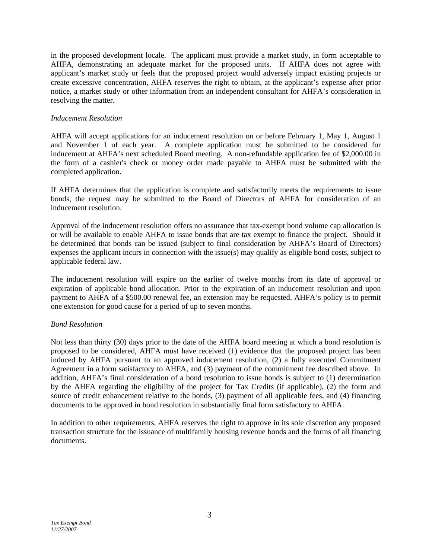in the proposed development locale. The applicant must provide a market study, in form acceptable to AHFA, demonstrating an adequate market for the proposed units. If AHFA does not agree with applicant's market study or feels that the proposed project would adversely impact existing projects or create excessive concentration, AHFA reserves the right to obtain, at the applicant's expense after prior notice, a market study or other information from an independent consultant for AHFA's consideration in resolving the matter.

## *Inducement Resolution*

AHFA will accept applications for an inducement resolution on or before February 1, May 1, August 1 and November 1 of each year. A complete application must be submitted to be considered for inducement at AHFA's next scheduled Board meeting. A non-refundable application fee of \$2,000.00 in the form of a cashier's check or money order made payable to AHFA must be submitted with the completed application.

If AHFA determines that the application is complete and satisfactorily meets the requirements to issue bonds, the request may be submitted to the Board of Directors of AHFA for consideration of an inducement resolution.

Approval of the inducement resolution offers no assurance that tax-exempt bond volume cap allocation is or will be available to enable AHFA to issue bonds that are tax exempt to finance the project. Should it be determined that bonds can be issued (subject to final consideration by AHFA's Board of Directors) expenses the applicant incurs in connection with the issue(s) may qualify as eligible bond costs, subject to applicable federal law.

The inducement resolution will expire on the earlier of twelve months from its date of approval or expiration of applicable bond allocation. Prior to the expiration of an inducement resolution and upon payment to AHFA of a \$500.00 renewal fee, an extension may be requested. AHFA's policy is to permit one extension for good cause for a period of up to seven months.

## *Bond Resolution*

Not less than thirty (30) days prior to the date of the AHFA board meeting at which a bond resolution is proposed to be considered, AHFA must have received (1) evidence that the proposed project has been induced by AHFA pursuant to an approved inducement resolution, (2) a fully executed Commitment Agreement in a form satisfactory to AHFA, and (3) payment of the commitment fee described above. In addition, AHFA's final consideration of a bond resolution to issue bonds is subject to (1) determination by the AHFA regarding the eligibility of the project for Tax Credits (if applicable), (2) the form and source of credit enhancement relative to the bonds, (3) payment of all applicable fees, and (4) financing documents to be approved in bond resolution in substantially final form satisfactory to AHFA.

In addition to other requirements, AHFA reserves the right to approve in its sole discretion any proposed transaction structure for the issuance of multifamily housing revenue bonds and the forms of all financing documents.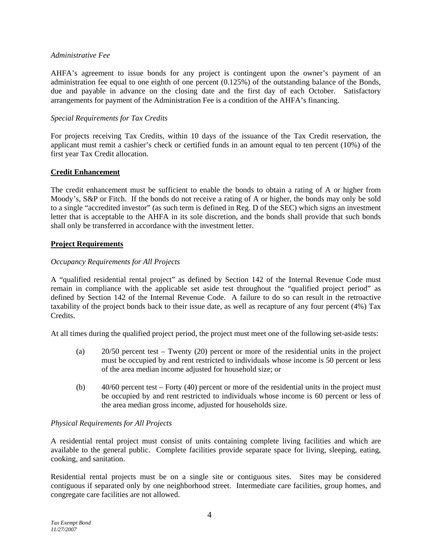## *Administrative Fee*

AHFA's agreement to issue bonds for any project is contingent upon the owner's payment of an administration fee equal to one eighth of one percent (0.125%) of the outstanding balance of the Bonds, due and payable in advance on the closing date and the first day of each October. Satisfactory arrangements for payment of the Administration Fee is a condition of the AHFA's financing.

## *Special Requirements for Tax Credits*

For projects receiving Tax Credits, within 10 days of the issuance of the Tax Credit reservation, the applicant must remit a cashier's check or certified funds in an amount equal to ten percent (10%) of the first year Tax Credit allocation.

## **Credit Enhancement**

The credit enhancement must be sufficient to enable the bonds to obtain a rating of A or higher from Moody's, S&P or Fitch. If the bonds do not receive a rating of A or higher, the bonds may only be sold to a single "accredited investor" (as such term is defined in Reg. D of the SEC) which signs an investment letter that is acceptable to the AHFA in its sole discretion, and the bonds shall provide that such bonds shall only be transferred in accordance with the investment letter.

## **Project Requirements**

## *Occupancy Requirements for All Projects*

A "qualified residential rental project" as defined by Section 142 of the Internal Revenue Code must remain in compliance with the applicable set aside test throughout the "qualified project period" as defined by Section 142 of the Internal Revenue Code. A failure to do so can result in the retroactive taxability of the project bonds back to their issue date, as well as recapture of any four percent (4%) Tax Credits.

At all times during the qualified project period, the project must meet one of the following set-aside tests:

- (a) 20/50 percent test Twenty (20) percent or more of the residential units in the project must be occupied by and rent restricted to individuals whose income is 50 percent or less of the area median income adjusted for household size; or
- (b) 40/60 percent test Forty (40) percent or more of the residential units in the project must be occupied by and rent restricted to individuals whose income is 60 percent or less of the area median gross income, adjusted for households size.

## *Physical Requirements for All Projects*

A residential rental project must consist of units containing complete living facilities and which are available to the general public. Complete facilities provide separate space for living, sleeping, eating, cooking, and sanitation.

Residential rental projects must be on a single site or contiguous sites. Sites may be considered contiguous if separated only by one neighborhood street. Intermediate care facilities, group homes, and congregate care facilities are not allowed.